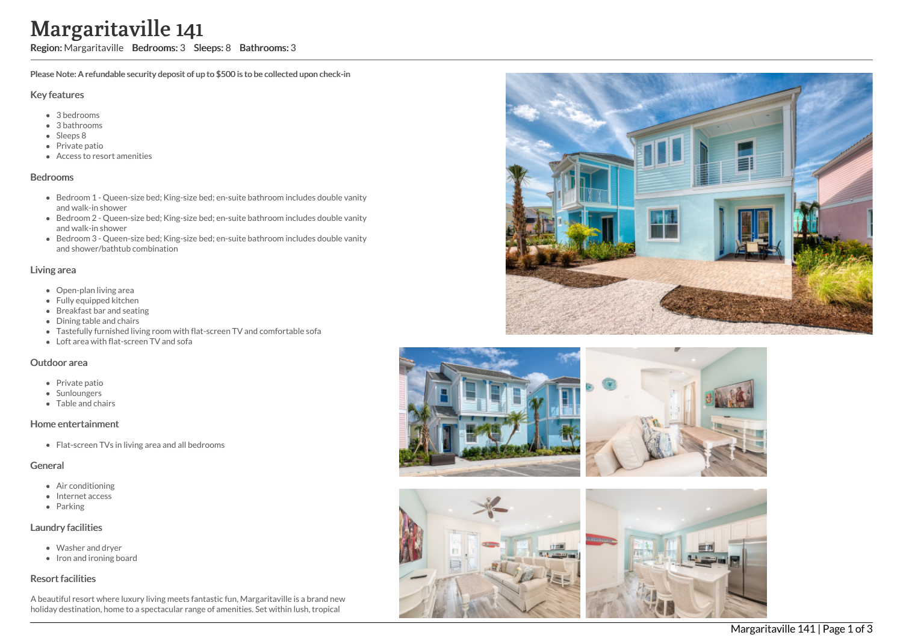# Margaritaville 141

Region: Margaritaville Bedrooms: 3 Sleeps: 8 Bathrooms: 3

Please Note: A refundable security deposit of up to \$500 is to be collected upon check-in

#### Key features

- 3 bedrooms
- 3 bathrooms
- Sleeps 8
- Private patio
- Access to resort amenities

#### Bedrooms

- Bedroom 1 Queen-size bed; King-size bed; en-suite bathroom includes double vanity and walk-in shower
- Bedroom 2 Queen-size bed; King-size bed; en-suite bathroom includes double vanity and walk-in shower
- Bedroom 3 Queen-size bed; King-size bed; en-suite bathroom includes double vanity and shower/bathtub combination

#### Living area

- Open-plan living area
- Fully equipped kitchen
- Breakfast bar and seating
- Dining table and chairs
- Tastefully furnished living room with flat-screen TV and comfortable sofa
- Loft area with flat-screen TV and sofa

#### Outdoor area

- Private patio
- Sunloungers
- Table and chairs

#### Home entertainment

• Flat-screen TVs in living area and all bedrooms

#### General

- Air conditioning
- Internet access
- Parking

## Laundry facilities

- Washer and dryer
- Iron and ironing board

## Resort facilities

A beautiful resort where luxury living meets fantastic fun, Margaritaville is a brand new holiday destination, home to a spectacular range of amenities. Set within lush, tropical





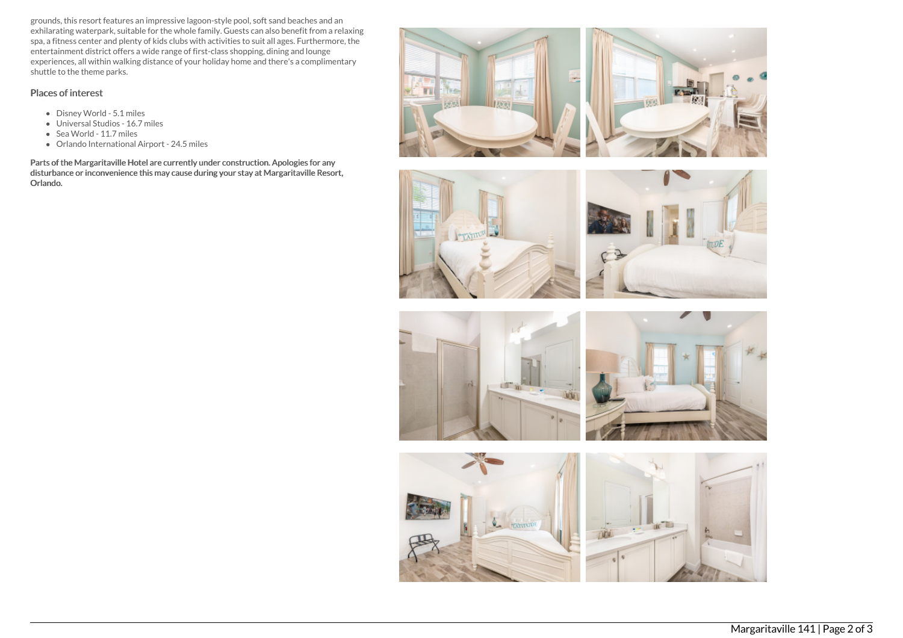grounds, this resort features an impressive lagoon-style pool, soft sand beaches and an exhilarating waterpark, suitable for the whole family. Guests can also benefit from a relaxing spa, a fitness center and plenty of kids clubs with activities to suit all ages. Furthermore, the entertainment district offers a wide range of first-class shopping, dining and lounge experiences, all within walking distance of your holiday home and there's a complimentary shuttle to the theme parks.

## Places of interest

- Disney World 5.1 miles
- Universal Studios 16.7 miles
- Sea World 11.7 miles
- Orlando International Airport 24.5 miles

Parts of the Margaritaville Hotel are currently under construction. Apologies for any disturbance or inconvenience this may cause during your stay at Margaritaville Resort, Orlando.